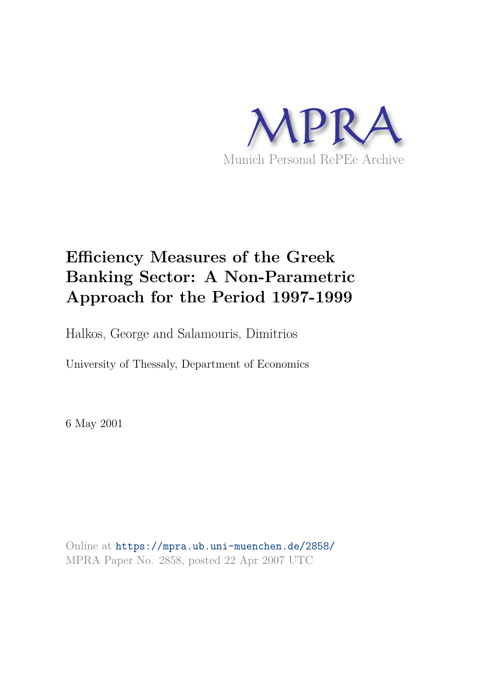

# **Efficiency Measures of the Greek Banking Sector: A Non-Parametric Approach for the Period 1997-1999**

Halkos, George and Salamouris, Dimitrios

University of Thessaly, Department of Economics

6 May 2001

Online at https://mpra.ub.uni-muenchen.de/2858/ MPRA Paper No. 2858, posted 22 Apr 2007 UTC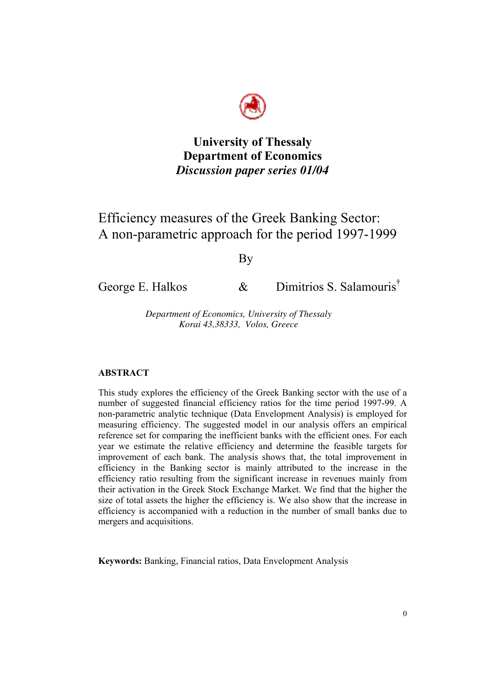

**University of Thessaly Department of Economics**  *Discussion paper series 01/04*

# Efficiency measures of the Greek Banking Sector: A non-parametric approach for the period 1997-1999

By

George E. Halkos  $\&$  Dimitrios S. Salamouris<sup>†</sup>

*Department of Economics, University of Thessaly Korai 43,38333, Volos, Greece* 

# **ABSTRACT**

This study explores the efficiency of the Greek Banking sector with the use of a number of suggested financial efficiency ratios for the time period 1997-99. A non-parametric analytic technique (Data Envelopment Analysis) is employed for measuring efficiency. The suggested model in our analysis offers an empirical reference set for comparing the inefficient banks with the efficient ones. For each year we estimate the relative efficiency and determine the feasible targets for improvement of each bank. The analysis shows that, the total improvement in efficiency in the Banking sector is mainly attributed to the increase in the efficiency ratio resulting from the significant increase in revenues mainly from their activation in the Greek Stock Exchange Market. We find that the higher the size of total assets the higher the efficiency is. We also show that the increase in efficiency is accompanied with a reduction in the number of small banks due to mergers and acquisitions.

 **Keywords:** Banking, Financial ratios, Data Envelopment Analysis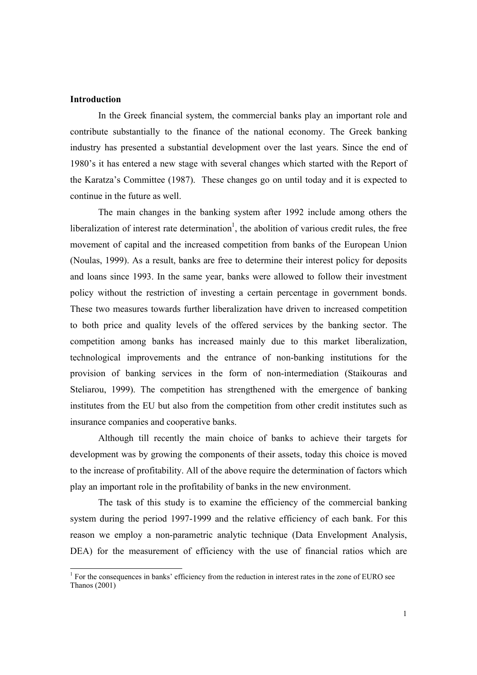#### **Introduction**

 $\overline{a}$ 

In the Greek financial system, the commercial banks play an important role and contribute substantially to the finance of the national economy. The Greek banking industry has presented a substantial development over the last years. Since the end of 1980's it has entered a new stage with several changes which started with the Report of the Karatza's Committee (1987). These changes go on until today and it is expected to continue in the future as well.

 The main changes in the banking system after 1992 include among others the liberalization of interest rate determination<sup>1</sup>, the abolition of various credit rules, the free movement of capital and the increased competition from banks of the European Union (Noulas, 1999). As a result, banks are free to determine their interest policy for deposits and loans since 1993. In the same year, banks were allowed to follow their investment policy without the restriction of investing a certain percentage in government bonds. These two measures towards further liberalization have driven to increased competition to both price and quality levels of the offered services by the banking sector. The competition among banks has increased mainly due to this market liberalization, technological improvements and the entrance of non-banking institutions for the provision of banking services in the form of non-intermediation (Staikouras and Steliarou, 1999). The competition has strengthened with the emergence of banking institutes from the EU but also from the competition from other credit institutes such as insurance companies and cooperative banks.

 Although till recently the main choice of banks to achieve their targets for development was by growing the components of their assets, today this choice is moved to the increase of profitability. All of the above require the determination of factors which play an important role in the profitability of banks in the new environment.

 The task of this study is to examine the efficiency of the commercial banking system during the period 1997-1999 and the relative efficiency of each bank. For this reason we employ a non-parametric analytic technique (Data Envelopment Analysis, DEA) for the measurement of efficiency with the use of financial ratios which are

 $<sup>1</sup>$  For the consequences in banks' efficiency from the reduction in interest rates in the zone of EURO see</sup> Thanos (2001)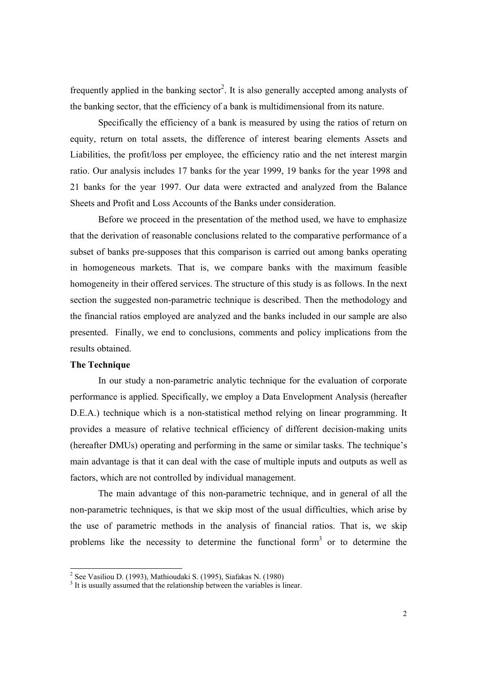frequently applied in the banking sector<sup>2</sup>. It is also generally accepted among analysts of the banking sector, that the efficiency of a bank is multidimensional from its nature.

 Specifically the efficiency of a bank is measured by using the ratios of return on equity, return on total assets, the difference of interest bearing elements Assets and Liabilities, the profit/loss per employee, the efficiency ratio and the net interest margin ratio. Our analysis includes 17 banks for the year 1999, 19 banks for the year 1998 and 21 banks for the year 1997. Our data were extracted and analyzed from the Balance Sheets and Profit and Loss Accounts of the Banks under consideration.

 Before we proceed in the presentation of the method used, we have to emphasize that the derivation of reasonable conclusions related to the comparative performance of a subset of banks pre-supposes that this comparison is carried out among banks operating in homogeneous markets. That is, we compare banks with the maximum feasible homogeneity in their offered services. The structure of this study is as follows. In the next section the suggested non-parametric technique is described. Then the methodology and the financial ratios employed are analyzed and the banks included in our sample are also presented. Finally, we end to conclusions, comments and policy implications from the results obtained.

### **The Technique**

In our study a non-parametric analytic technique for the evaluation of corporate performance is applied. Specifically, we employ a Data Envelopment Analysis (hereafter D.E.A.) technique which is a non-statistical method relying on linear programming. It provides a measure of relative technical efficiency of different decision-making units (hereafter DMUs) operating and performing in the same or similar tasks. The technique's main advantage is that it can deal with the case of multiple inputs and outputs as well as factors, which are not controlled by individual management.

 The main advantage of this non-parametric technique, and in general of all the non-parametric techniques, is that we skip most of the usual difficulties, which arise by the use of parametric methods in the analysis of financial ratios. That is, we skip problems like the necessity to determine the functional form<sup>3</sup> or to determine the

<sup>&</sup>lt;sup>2</sup> See Vasiliou D. (1993), Mathioudaki S. (1995), Siafakas N. (1980)<br><sup>3</sup> It is usually assumed that the relationship between the variables is linear.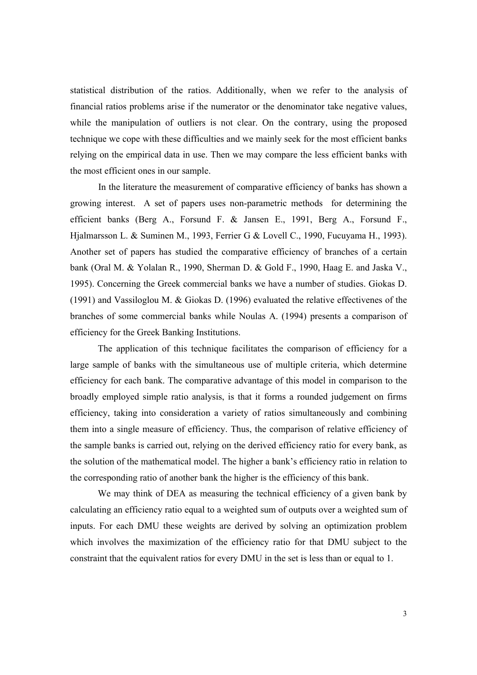statistical distribution of the ratios. Additionally, when we refer to the analysis of financial ratios problems arise if the numerator or the denominator take negative values, while the manipulation of outliers is not clear. On the contrary, using the proposed technique we cope with these difficulties and we mainly seek for the most efficient banks relying on the empirical data in use. Then we may compare the less efficient banks with the most efficient ones in our sample.

 In the literature the measurement of comparative efficiency of banks has shown a growing interest. A set of papers uses non-parametric methods for determining the efficient banks (Berg A., Forsund F. & Jansen E., 1991, Berg A., Forsund F., Hjalmarsson L. & Suminen M., 1993, Ferrier G & Lovell C., 1990, Fucuyama H., 1993). Another set of papers has studied the comparative efficiency of branches of a certain bank (Oral M. & Yolalan R., 1990, Sherman D. & Gold F., 1990, Haag E. and Jaska V., 1995). Concerning the Greek commercial banks we have a number of studies. Giokas D. (1991) and Vassiloglou M. & Giokas D. (1996) evaluated the relative effectivenes of the branches of some commercial banks while Noulas A. (1994) presents a comparison of efficiency for the Greek Banking Institutions.

The application of this technique facilitates the comparison of efficiency for a large sample of banks with the simultaneous use of multiple criteria, which determine efficiency for each bank. The comparative advantage of this model in comparison to the broadly employed simple ratio analysis, is that it forms a rounded judgement on firms efficiency, taking into consideration a variety of ratios simultaneously and combining them into a single measure of efficiency. Thus, the comparison of relative efficiency of the sample banks is carried out, relying on the derived efficiency ratio for every bank, as the solution of the mathematical model. The higher a bank's efficiency ratio in relation to the corresponding ratio of another bank the higher is the efficiency of this bank.

We may think of DEA as measuring the technical efficiency of a given bank by calculating an efficiency ratio equal to a weighted sum of outputs over a weighted sum of inputs. For each DMU these weights are derived by solving an optimization problem which involves the maximization of the efficiency ratio for that DMU subject to the constraint that the equivalent ratios for every DMU in the set is less than or equal to 1.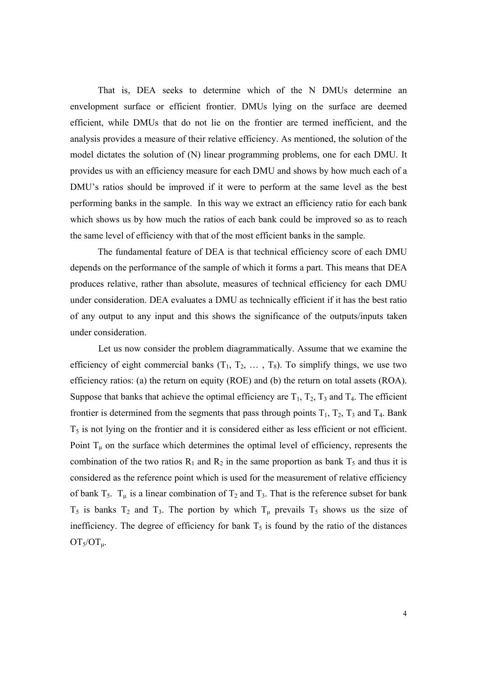That is, DEA seeks to determine which of the N DMUs determine an envelopment surface or efficient frontier. DMUs lying on the surface are deemed efficient, while DMUs that do not lie on the frontier are termed inefficient, and the analysis provides a measure of their relative efficiency. As mentioned, the solution of the model dictates the solution of (N) linear programming problems, one for each DMU. It provides us with an efficiency measure for each DMU and shows by how much each of a DMU's ratios should be improved if it were to perform at the same level as the best performing banks in the sample. In this way we extract an efficiency ratio for each bank which shows us by how much the ratios of each bank could be improved so as to reach the same level of efficiency with that of the most efficient banks in the sample.

The fundamental feature of DEA is that technical efficiency score of each DMU depends on the performance of the sample of which it forms a part. This means that DEA produces relative, rather than absolute, measures of technical efficiency for each DMU under consideration. DEA evaluates a DMU as technically efficient if it has the best ratio of any output to any input and this shows the significance of the outputs/inputs taken under consideration.

Let us now consider the problem diagrammatically. Assume that we examine the efficiency of eight commercial banks  $(T_1, T_2, \ldots, T_8)$ . To simplify things, we use two efficiency ratios: (a) the return on equity (ROE) and (b) the return on total assets (ROA). Suppose that banks that achieve the optimal efficiency are  $T_1$ ,  $T_2$ ,  $T_3$  and  $T_4$ . The efficient frontier is determined from the segments that pass through points  $T_1$ ,  $T_2$ ,  $T_3$  and  $T_4$ . Bank  $T<sub>5</sub>$  is not lying on the frontier and it is considered either as less efficient or not efficient. Point  $T_{\mu}$  on the surface which determines the optimal level of efficiency, represents the combination of the two ratios  $R_1$  and  $R_2$  in the same proportion as bank  $T_5$  and thus it is considered as the reference point which is used for the measurement of relative efficiency of bank  $T_5$ .  $T_{\mu}$  is a linear combination of  $T_2$  and  $T_3$ . That is the reference subset for bank  $T_5$  is banks  $T_2$  and  $T_3$ . The portion by which  $T_\mu$  prevails  $T_5$  shows us the size of inefficiency. The degree of efficiency for bank  $T<sub>5</sub>$  is found by the ratio of the distances  $OT<sub>5</sub>/OT<sub>µ</sub>.$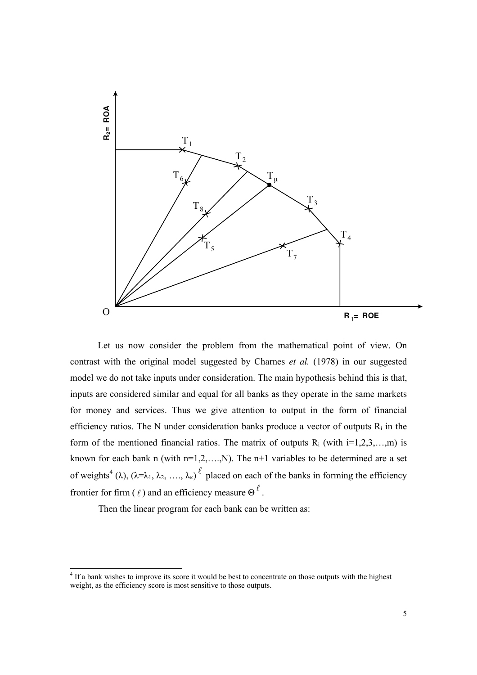

Let us now consider the problem from the mathematical point of view. On contrast with the original model suggested by Charnes *et al.* (1978) in our suggested model we do not take inputs under consideration. The main hypothesis behind this is that, inputs are considered similar and equal for all banks as they operate in the same markets for money and services. Thus we give attention to output in the form of financial efficiency ratios. The N under consideration banks produce a vector of outputs  $R_i$  in the form of the mentioned financial ratios. The matrix of outputs  $R_i$  (with  $i=1,2,3,...,m$ ) is known for each bank n (with  $n=1,2,...,N$ ). The  $n+1$  variables to be determined are a set of weights<sup>4</sup> ( $\lambda$ ), ( $\lambda = \lambda_1, \lambda_2, \ldots, \lambda_{\kappa}$ )  $\ell$  placed on each of the banks in forming the efficiency frontier for firm ( $\ell$ ) and an efficiency measure  $\Theta^{\ell}$ .

Then the linear program for each bank can be written as:

 $\overline{a}$ 

<sup>&</sup>lt;sup>4</sup> If a bank wishes to improve its score it would be best to concentrate on those outputs with the highest weight, as the efficiency score is most sensitive to those outputs.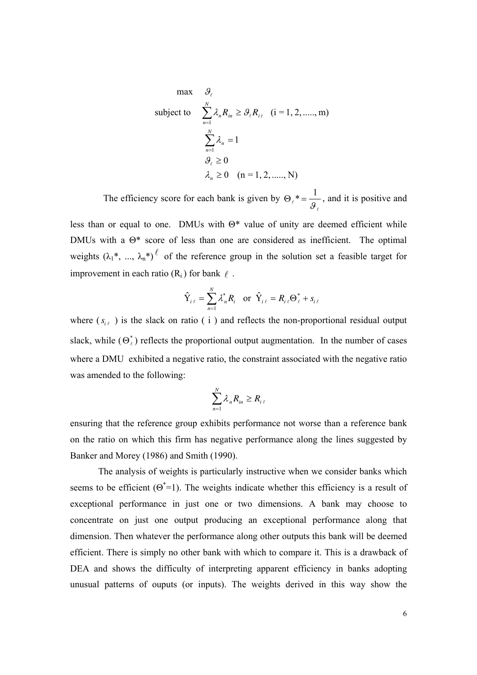max 
$$
\theta_{\ell}
$$
  
\nsubject to  $\sum_{n=1}^{N} \lambda_n R_{in} \ge \theta_{\ell} R_{i\ell}$  (i = 1, 2, ...., m)  
\n $\sum_{n=1}^{N} \lambda_n = 1$   
\n $\theta_{\ell} \ge 0$   
\n $\lambda_n \ge 0$  (n = 1, 2, ...., N)

The efficiency score for each bank is given by  $\Theta_{\ell}$  $\ell$  $* = \frac{1}{2}$  $\frac{1}{9}$ , and it is positive and

less than or equal to one. DMUs with  $\Theta^*$  value of unity are deemed efficient while DMUs with a Θ\* score of less than one are considered as inefficient. The optimal weights  $(\lambda_1^*, \dots, \lambda_n^*)^{\ell}$  of the reference group in the solution set a feasible target for improvement in each ratio  $(R_i)$  for bank  $\ell$ .

$$
\hat{\mathbf{Y}}_{i\,\ell} = \sum_{n=1}^{N} \lambda_n^* R_i \quad \text{or} \ \hat{\mathbf{Y}}_{i\,\ell} = R_{i\,\ell} \Theta_{\ell}^* + s_{i\,\ell}
$$

where  $(s_{i\ell})$  is the slack on ratio ( i ) and reflects the non-proportional residual output slack, while  $(\Theta_{\ell}^*)$  reflects the proportional output augmentation. In the number of cases where a DMU exhibited a negative ratio, the constraint associated with the negative ratio was amended to the following:

$$
\sum_{n=1}^N \lambda_n R_{in} \ge R_{i\ell}
$$

ensuring that the reference group exhibits performance not worse than a reference bank on the ratio on which this firm has negative performance along the lines suggested by Banker and Morey (1986) and Smith (1990).

 The analysis of weights is particularly instructive when we consider banks which seems to be efficient  $(\Theta^* = 1)$ . The weights indicate whether this efficiency is a result of exceptional performance in just one or two dimensions. A bank may choose to concentrate on just one output producing an exceptional performance along that dimension. Then whatever the performance along other outputs this bank will be deemed efficient. There is simply no other bank with which to compare it. This is a drawback of DEA and shows the difficulty of interpreting apparent efficiency in banks adopting unusual patterns of ouputs (or inputs). The weights derived in this way show the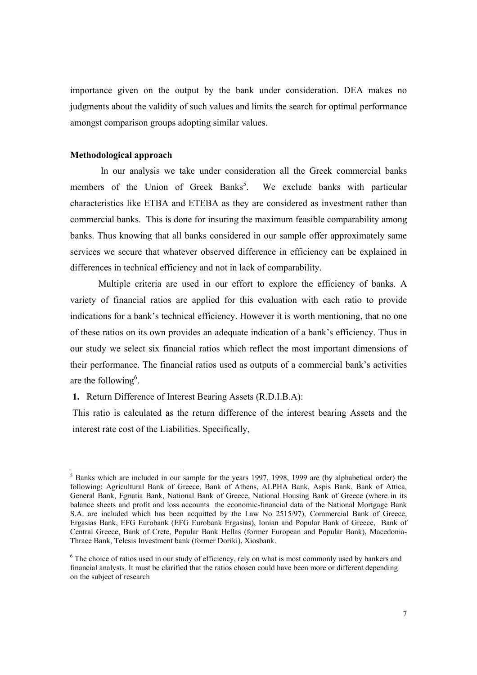importance given on the output by the bank under consideration. DEA makes no judgments about the validity of such values and limits the search for optimal performance amongst comparison groups adopting similar values.

#### **Methodological approach**

 $\overline{a}$ 

In our analysis we take under consideration all the Greek commercial banks members of the Union of Greek Banks<sup>5</sup>. We exclude banks with particular characteristics like ETBA and ETEBA as they are considered as investment rather than commercial banks. This is done for insuring the maximum feasible comparability among banks. Thus knowing that all banks considered in our sample offer approximately same services we secure that whatever observed difference in efficiency can be explained in differences in technical efficiency and not in lack of comparability.

 Multiple criteria are used in our effort to explore the efficiency of banks. A variety of financial ratios are applied for this evaluation with each ratio to provide indications for a bank's technical efficiency. However it is worth mentioning, that no one of these ratios on its own provides an adequate indication of a bank's efficiency. Thus in our study we select six financial ratios which reflect the most important dimensions of their performance. The financial ratios used as outputs of a commercial bank's activities are the following<sup>6</sup>.

**1.** Return Difference of Interest Bearing Assets (R.D.I.B.A):

This ratio is calculated as the return difference of the interest bearing Assets and the interest rate cost of the Liabilities. Specifically,

<sup>&</sup>lt;sup>5</sup> Banks which are included in our sample for the years 1997, 1998, 1999 are (by alphabetical order) the following: Agricultural Bank of Greece, Bank of Athens, ALPHA Bank, Aspis Bank, Bank of Attica, General Bank, Egnatia Bank, National Bank of Greece, National Housing Bank of Greece (where in its balance sheets and profit and loss accounts the economic-financial data of the National Mortgage Bank S.A. are included which has been acquitted by the Law No 2515/97), Commercial Bank of Greece, Ergasias Bank, EFG Eurobank (EFG Eurobank Ergasias), Ionian and Popular Bank of Greece, Bank of Central Greece, Bank of Crete, Popular Bank Hellas (former European and Popular Bank), Macedonia-Thrace Bank, Telesis Investment bank (former Doriki), Xiosbank.

<sup>&</sup>lt;sup>6</sup> The choice of ratios used in our study of efficiency, rely on what is most commonly used by bankers and financial analysts. It must be clarified that the ratios chosen could have been more or different depending on the subject of research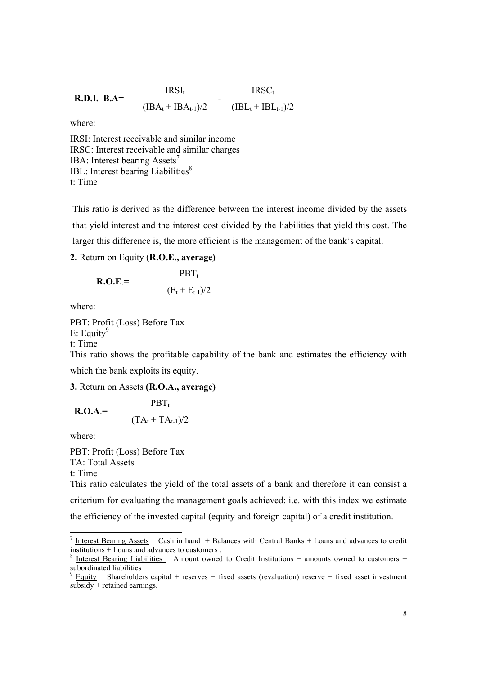**R.D.I. B.A=** 
$$
\frac{\text{IRSI}_{t}}{(\text{IBA}_{t} + \text{IBA}_{t-1})/2} - \frac{\text{IRSC}_{t}}{(\text{IBL}_{t} + \text{IBL}_{t-1})/2}
$$

where:

IRSI: Interest receivable and similar income IRSC: Interest receivable and similar charges IBA: Interest bearing Assets<sup>7</sup> IBL: Interest bearing Liabilities<sup>8</sup> t: Time

This ratio is derived as the difference between the interest income divided by the assets that yield interest and the interest cost divided by the liabilities that yield this cost. The larger this difference is, the more efficient is the management of the bank's capital.

## **2.** Return on Equity (**R.O.E., average)**

$$
\textbf{R.O.E.} = \frac{\textbf{PBT}_{t}}{(\textbf{E}_{t} + \textbf{E}_{t-1})/2}
$$

where:

PBT: Profit (Loss) Before Tax

E: Equity<sup>9</sup>

t: Time

This ratio shows the profitable capability of the bank and estimates the efficiency with which the bank exploits its equity.

**3.** Return on Assets **(R.O.A., average)** 

$$
\textbf{R.O.A.} = \frac{\textbf{PBT}_{t}}{(\textbf{TA}_{t} + \textbf{TA}_{t-1})/2}
$$

where:

 $\overline{a}$ 

PBT: Profit (Loss) Before Tax TA: Total Assets t: Time This ratio calculates the yield of the total assets of a bank and therefore it can consist a

criterium for evaluating the management goals achieved; i.e. with this index we estimate the efficiency of the invested capital (equity and foreign capital) of a credit institution.

<sup>&</sup>lt;sup>7</sup> Interest Bearing Assets = Cash in hand + Balances with Central Banks + Loans and advances to credit institutions + Loans and advances to customers .

<sup>8</sup> Interest Bearing Liabilities = Amount owned to Credit Institutions + amounts owned to customers + subordinated liabilities<br><sup>9</sup> Equity = Shareholder

Equity = Shareholders capital + reserves + fixed assets (revaluation) reserve + fixed asset investment subsidy + retained earnings.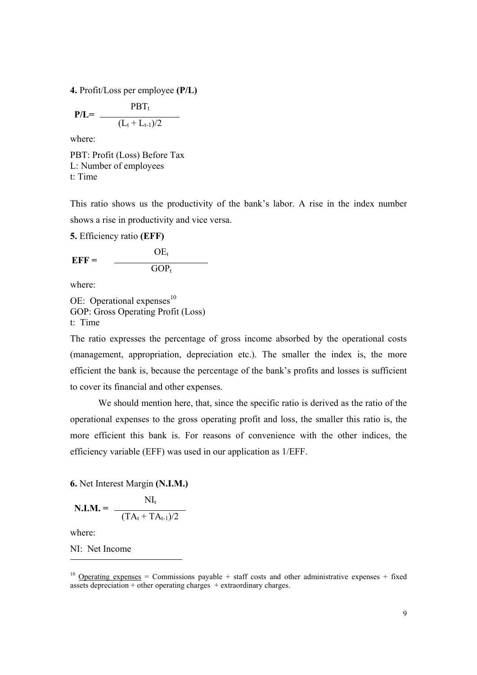**4.** Profit/Loss per employee **(P/L)** 

$$
P/L = \frac{PBT_t}{(L_t + L_{t-1})/2}
$$

where:

PBT: Profit (Loss) Before Tax L: Number of employees t: Time

This ratio shows us the productivity of the bank's labor. A rise in the index number shows a rise in productivity and vice versa.

**5.** Efficiency ratio **(EFF)** 

 $OE<sub>t</sub>$ **EFF =**   $GOP_t$ 

where:

OE: Operational expenses $^{10}$ GOP: Gross Operating Profit (Loss) t: Time

The ratio expresses the percentage of gross income absorbed by the operational costs (management, appropriation, depreciation etc.). The smaller the index is, the more efficient the bank is, because the percentage of the bank's profits and losses is sufficient to cover its financial and other expenses.

 We should mention here, that, since the specific ratio is derived as the ratio of the operational expenses to the gross operating profit and loss, the smaller this ratio is, the more efficient this bank is. For reasons of convenience with the other indices, the efficiency variable (ΕFF) was used in our application as 1/ΕFF.

### **6.** Net Interest Margin **(N.I.M.)**

$$
\mathbf{N.I.M.} = \frac{NI_t}{(TA_t + TA_{t-1})/2}
$$

where:

 $\overline{a}$ 

NI: Net Income

<sup>&</sup>lt;sup>10</sup> Operating expenses = Commissions payable + staff costs and other administrative expenses + fixed assets depreciation  $+$  other operating charges  $+$  extraordinary charges.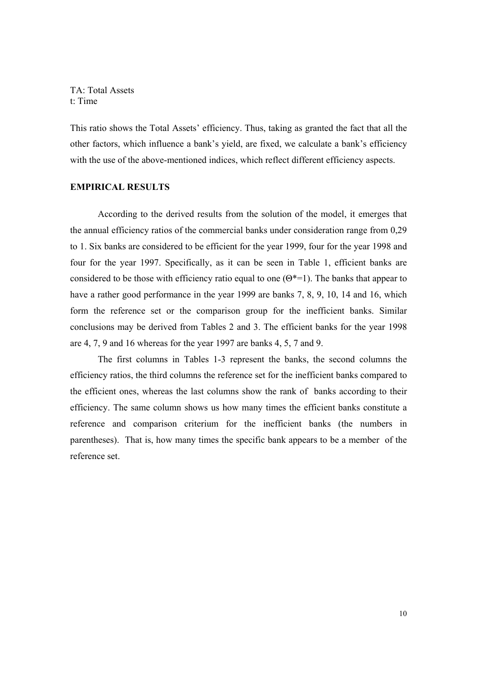#### TA: Total Assets t: Time

This ratio shows the Total Assets' efficiency. Thus, taking as granted the fact that all the other factors, which influence a bank's yield, are fixed, we calculate a bank's efficiency with the use of the above-mentioned indices, which reflect different efficiency aspects.

### **EMPIRICAL RESULTS**

According to the derived results from the solution of the model, it emerges that the annual efficiency ratios of the commercial banks under consideration range from 0,29 to 1. Six banks are considered to be efficient for the year 1999, four for the year 1998 and four for the year 1997. Specifically, as it can be seen in Table 1, efficient banks are considered to be those with efficiency ratio equal to one  $(\Theta^* = 1)$ . The banks that appear to have a rather good performance in the year 1999 are banks 7, 8, 9, 10, 14 and 16, which form the reference set or the comparison group for the inefficient banks. Similar conclusions may be derived from Tables 2 and 3. The efficient banks for the year 1998 are 4, 7, 9 and 16 whereas for the year 1997 are banks 4, 5, 7 and 9.

The first columns in Tables 1-3 represent the banks, the second columns the efficiency ratios, the third columns the reference set for the inefficient banks compared to the efficient ones, whereas the last columns show the rank of banks according to their efficiency. The same column shows us how many times the efficient banks constitute a reference and comparison criterium for the inefficient banks (the numbers in parentheses). That is, how many times the specific bank appears to be a member of the reference set.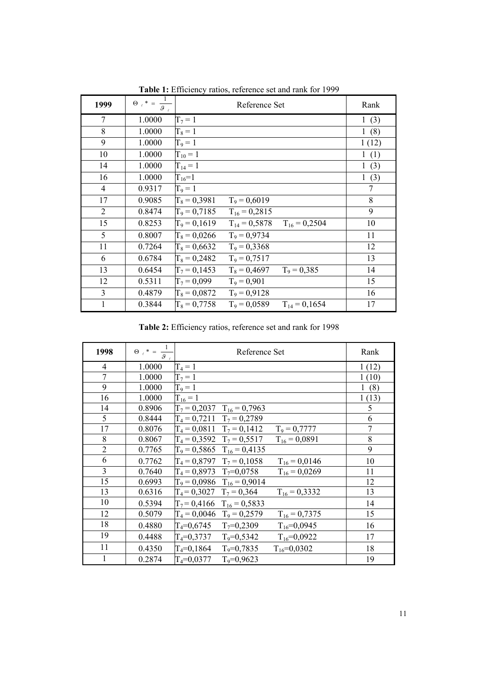| 1999           | $\Theta_{\ell}$ * =<br>$\overline{s}$ | Reference Set                                            | Rank                |
|----------------|---------------------------------------|----------------------------------------------------------|---------------------|
| 7              | 1.0000                                | $T_7 = 1$                                                | 1(3)                |
| 8              | 1.0000                                | $T_8 = 1$                                                | 1(8)                |
| 9              | 1.0000                                | $T_9 = 1$                                                | 1(12)               |
| 10             | 1.0000                                | $T_{10} = 1$                                             | 1(1)                |
| 14             | 1.0000                                | $T_{14} = 1$                                             | $\mathbf{1}$<br>(3) |
| 16             | 1.0000                                | $T_{16}=1$                                               | $\mathbf{1}$<br>(3) |
| $\overline{4}$ | 0.9317                                | $T_9 = 1$                                                | 7                   |
| 17             | 0.9085                                | $T_8 = 0,3981$<br>$T_9 = 0,6019$                         | 8                   |
| $\overline{2}$ | 0.8474                                | $T_9 = 0,7185$<br>$T_{16} = 0,2815$                      | 9                   |
| 15             | 0.8253                                | $T_9 = 0,1619$<br>$T_{14} = 0,5878$<br>$T_{16} = 0,2504$ | 10                  |
| 5              | 0.8007                                | $T_8 = 0,0266$<br>$T_9 = 0.9734$                         | 11                  |
| 11             | 0.7264                                | $T_8 = 0,6632$<br>$T_9 = 0,3368$                         | 12                  |
| 6              | 0.6784                                | $T_8 = 0,2482$<br>$T_9 = 0,7517$                         | 13                  |
| 13             | 0.6454                                | $T_7 = 0,1453$<br>$T_8 = 0,4697$<br>$T_9 = 0,385$        | 14                  |
| 12             | 0.5311                                | $T_7 = 0.099$<br>$T_9 = 0.901$                           | 15                  |
| 3              | 0.4879                                | $T_8 = 0.0872$<br>$T_9 = 0.9128$                         | 16                  |
| 1              | 0.3844                                | $T_8 = 0,7758$<br>$T_9 = 0.0589$<br>$T_{14} = 0,1654$    | 17                  |

 **Table 1:** Efficiency ratios, reference set and rank for 1999

 **Table 2:** Efficiency ratios, reference set and rank for 1998

| 1998           | $\Theta_{\ell}$ * = $\frac{1}{g}$ | Reference Set                                         | Rank  |
|----------------|-----------------------------------|-------------------------------------------------------|-------|
| 4              | 1.0000                            | $T_4 = 1$                                             | 1(12) |
| 7              | 1.0000                            | $T_7 = 1$                                             | 1(10) |
| 9              | 1.0000                            | $T_9 = 1$                                             | (8)   |
| 16             | 1.0000                            | $T_{16} = 1$                                          | 1(13) |
| 14             | 0.8906                            | $T_7 = 0,2037$ $T_{16} = 0,7963$                      | 5     |
| 5              | 0.8444                            | $T_4 = 0.7211$ $T_7 = 0.2789$                         | 6     |
| 17             | 0.8076                            | $T_4 = 0.0811$ $T_7 = 0.1412$<br>$T_9 = 0,7777$       | 7     |
| 8              | 0.8067                            | $T_4 = 0,3592$ $T_7 = 0,5517$<br>$T_{16} = 0,0891$    | 8     |
| $\overline{2}$ | 0.7765                            | $T_9 = 0,5865$ $T_{16} = 0,4135$                      | 9     |
| 6              | 0.7762                            | $T_4 = 0.8797$ $T_7 = 0.1058$<br>$T_{16} = 0,0146$    | 10    |
| 3              | 0.7640                            | $T_4 = 0.8973$ $T_7 = 0.0758$<br>$T_{16} = 0.0269$    | 11    |
| 15             | 0.6993                            | $T_9 = 0,0986$ $T_{16} = 0,9014$                      | 12    |
| 13             | 0.6316                            | $T_4 = 0,3027$ $T_7 = 0,364$<br>$T_{16} = 0,3332$     | 13    |
| 10             | 0.5394                            | $T_7 = 0,4166$ $T_{16} = 0,5833$                      | 14    |
| 12             | 0.5079                            | $T_4 = 0,0046$ $T_9 = 0,2579$<br>$T_{16} = 0,7375$    | 15    |
| 18             | 0.4880                            | $T_4 = 0.6745$ $T_7 = 0.2309$<br>$T_{16} = 0.0945$    | 16    |
| 19             | 0.4488                            | $T_4 = 0.3737$ $T_9 = 0.5342$<br>$T_{16} = 0.0922$    | 17    |
| 11             | 0.4350                            | $T_4 = 0.1864$<br>$T_9 = 0.7835$<br>$T_{16} = 0,0302$ | 18    |
|                | 0.2874                            | $T_4 = 0.0377$<br>$T_9 = 0.9623$                      | 19    |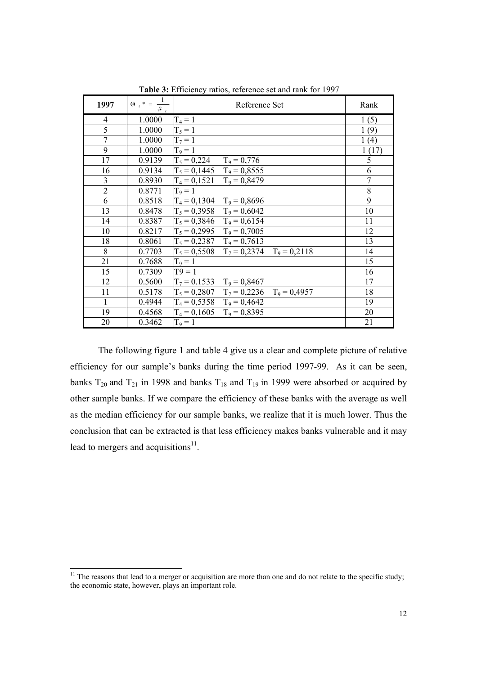| 1997           | $\Theta_{-\ell}$ *<br>9 | Reference Set                                   | Rank           |
|----------------|-------------------------|-------------------------------------------------|----------------|
| 4              | 1.0000                  | $T_4 = 1$                                       | 1(5)           |
| 5              | 1.0000                  | $T_5 = 1$                                       | 1(9)           |
| $\overline{7}$ | 1.0000                  | $T_7 = 1$                                       | 1(4)           |
| 9              | 1.0000                  | $T_9 = 1$                                       | 1(17)          |
| 17             | 0.9139                  | $T_5 = 0,224$<br>$T_9 = 0,776$                  | 5              |
| 16             | 0.9134                  | $T_5 = 0,1445$ $T_9 = 0,8555$                   | 6              |
| 3              | 0.8930                  | $T_4 = 0.1521$ $T_9 = 0.8479$                   | $\overline{7}$ |
| $\overline{2}$ | 0.8771                  | $T_9 = 1$                                       | 8              |
| 6              | 0.8518                  | $T_4 = 0,1304$<br>$T_9 = 0,8696$                | 9              |
| 13             | 0.8478                  | $T_5 = 0,3958$ $T_9 = 0,6042$                   | 10             |
| 14             | 0.8387                  | $T_5 = 0,3846$ $T_9 = 0,6154$                   | 11             |
| 10             | 0.8217                  | $T_5 = 0,2995$ $T_9 = 0,7005$                   | 12             |
| 18             | 0.8061                  | $T_5 = 0,2387$ $T_9 = 0,7613$                   | 13             |
| 8              | 0.7703                  | $T_5 = 0,5508$<br>$T_7 = 0,2374$ $T_9 = 0,2118$ | 14             |
| 21             | 0.7688                  | $T_9 = 1$                                       | 15             |
| 15             | 0.7309                  | $T9=1$                                          | 16             |
| 12             | 0.5600                  | $T_7$ = 0.1533<br>$T_9 = 0,8467$                | 17             |
| 11             | 0.5178                  | $T_5 = 0,2807$ $T_7 = 0,2236$ $T_9 = 0,4957$    | 18             |
| 1              | 0.4944                  | $T_4 = 0,5358$<br>$T_9 = 0,4642$                | 19             |
| 19             | 0.4568                  | $T_4 = 0,1605$<br>$T_9 = 0,8395$                | 20             |
| 20             | 0.3462                  | $T_9 = 1$                                       | 21             |

 **Table 3:** Efficiency ratios, reference set and rank for 1997

 The following figure 1 and table 4 give us a clear and complete picture of relative efficiency for our sample's banks during the time period 1997-99. As it can be seen, banks  $T_{20}$  and  $T_{21}$  in 1998 and banks  $T_{18}$  and  $T_{19}$  in 1999 were absorbed or acquired by other sample banks. If we compare the efficiency of these banks with the average as well as the median efficiency for our sample banks, we realize that it is much lower. Thus the conclusion that can be extracted is that less efficiency makes banks vulnerable and it may lead to mergers and acquisitions $11$ .

 $\overline{a}$ 

 $11$  The reasons that lead to a merger or acquisition are more than one and do not relate to the specific study; the economic state, however, plays an important role.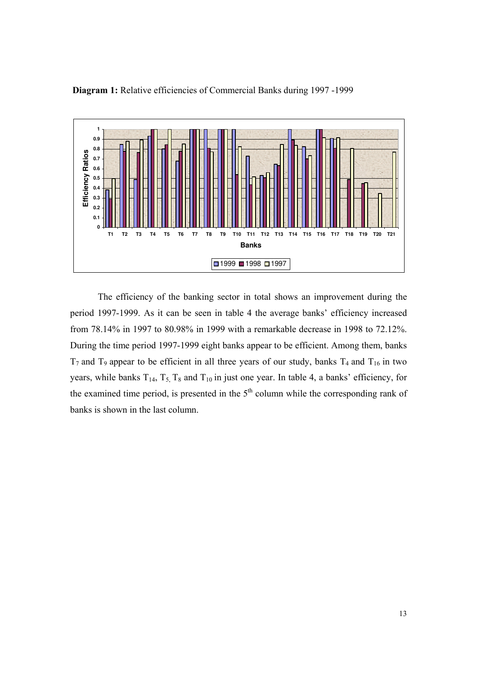

**Diagram 1:** Relative efficiencies of Commercial Banks during 1997 -1999

 The efficiency of the banking sector in total shows an improvement during the period 1997-1999. As it can be seen in table 4 the average banks' efficiency increased from 78.14% in 1997 to 80.98% in 1999 with a remarkable decrease in 1998 to 72.12%. During the time period 1997-1999 eight banks appear to be efficient. Among them, banks  $T_7$  and  $T_9$  appear to be efficient in all three years of our study, banks  $T_4$  and  $T_{16}$  in two years, while banks  $T_{14}$ ,  $T_5$ ,  $T_8$  and  $T_{10}$  in just one year. In table 4, a banks' efficiency, for the examined time period, is presented in the  $5<sup>th</sup>$  column while the corresponding rank of banks is shown in the last column.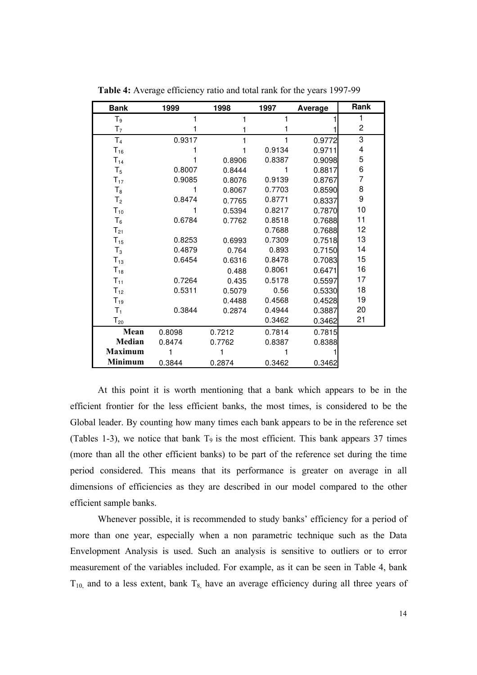| <b>Bank</b>       | 1999   | 1998   | 1997   | Average |                |
|-------------------|--------|--------|--------|---------|----------------|
| T <sub>9</sub>    | 1      | 1      | 1      |         | 1              |
| T <sub>7</sub>    | 1      |        | 1      |         | $\overline{c}$ |
| T <sub>4</sub>    | 0.9317 |        | 1      | 0.9772  | 3              |
| $T_{16}$          |        |        | 0.9134 | 0.9711  | 4              |
| $T_{14}$          |        | 0.8906 | 0.8387 | 0.9098  | 5              |
| $T_5$             | 0.8007 | 0.8444 | 1      | 0.8817  | 6              |
| $T_{17}$          | 0.9085 | 0.8076 | 0.9139 | 0.8767  | 7              |
| $T_8$             | 1      | 0.8067 | 0.7703 | 0.8590  | 8              |
| T <sub>2</sub>    | 0.8474 | 0.7765 | 0.8771 | 0.8337  | 9              |
| $T_{10}$          | 1      | 0.5394 | 0.8217 | 0.7870  | 10             |
| $T_6$             | 0.6784 | 0.7762 | 0.8518 | 0.7688  | 11             |
| $T_{21}$          |        |        | 0.7688 | 0.7688  | 12             |
| $T_{15}$          | 0.8253 | 0.6993 | 0.7309 | 0.7518  | 13             |
| $T_3$             | 0.4879 | 0.764  | 0.893  | 0.7150  | 14             |
| $T_{13}$          | 0.6454 | 0.6316 | 0.8478 | 0.7083  | 15             |
| $T_{18}$          |        | 0.488  | 0.8061 | 0.6471  | 16             |
| $T_{11}$          | 0.7264 | 0.435  | 0.5178 | 0.5597  | 17             |
| $T_{12}$          | 0.5311 | 0.5079 | 0.56   | 0.5330  | 18             |
| $T_{19}$          |        | 0.4488 | 0.4568 | 0.4528  | 19             |
| $T_1$             | 0.3844 | 0.2874 | 0.4944 | 0.3887  | 20             |
| $\mathsf{T}_{20}$ |        |        | 0.3462 | 0.3462  | 21             |
| Mean              | 0.8098 | 0.7212 | 0.7814 | 0.7815  |                |
| Median            | 0.8474 | 0.7762 | 0.8387 | 0.8388  |                |
| <b>Maximum</b>    |        |        |        |         |                |
| <b>Minimum</b>    | 0.3844 | 0.2874 | 0.3462 | 0.3462  |                |

 **Table 4:** Average efficiency ratio and total rank for the years 1997-99

 At this point it is worth mentioning that a bank which appears to be in the efficient frontier for the less efficient banks, the most times, is considered to be the Global leader. By counting how many times each bank appears to be in the reference set (Tables 1-3), we notice that bank  $T_9$  is the most efficient. This bank appears 37 times (more than all the other efficient banks) to be part of the reference set during the time period considered. This means that its performance is greater on average in all dimensions of efficiencies as they are described in our model compared to the other efficient sample banks.

 Whenever possible, it is recommended to study banks' efficiency for a period of more than one year, especially when a non parametric technique such as the Data Envelopment Analysis is used. Such an analysis is sensitive to outliers or to error measurement of the variables included. For example, as it can be seen in Table 4, bank  $T_{10}$ , and to a less extent, bank  $T_8$ , have an average efficiency during all three years of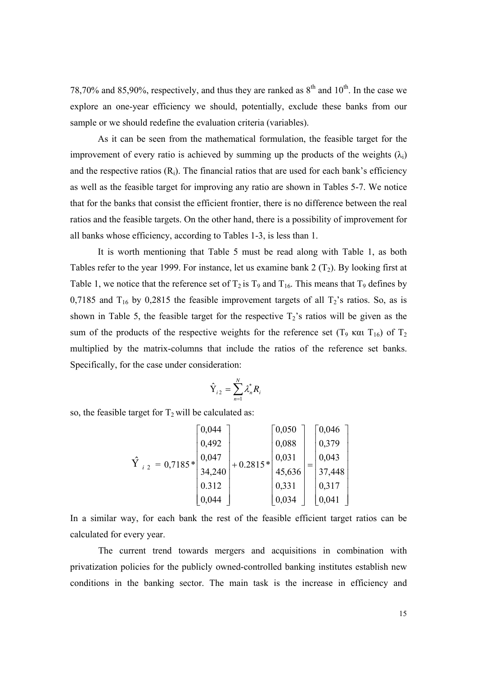78,70% and 85,90%, respectively, and thus they are ranked as  $8<sup>th</sup>$  and  $10<sup>th</sup>$ . In the case we explore an one-year efficiency we should, potentially, exclude these banks from our sample or we should redefine the evaluation criteria (variables).

 As it can be seen from the mathematical formulation, the feasible target for the improvement of every ratio is achieved by summing up the products of the weights  $(\lambda_i)$ and the respective ratios  $(R_i)$ . The financial ratios that are used for each bank's efficiency as well as the feasible target for improving any ratio are shown in Tables 5-7. We notice that for the banks that consist the efficient frontier, there is no difference between the real ratios and the feasible targets. On the other hand, there is a possibility of improvement for all banks whose efficiency, according to Tables 1-3, is less than 1.

 It is worth mentioning that Table 5 must be read along with Table 1, as both Tables refer to the year 1999. For instance, let us examine bank 2  $(T_2)$ . By looking first at Table 1, we notice that the reference set of  $T_2$  is  $T_9$  and  $T_{16}$ . This means that  $T_9$  defines by 0,7185 and  $T_{16}$  by 0,2815 the feasible improvement targets of all  $T_2$ 's ratios. So, as is shown in Table 5, the feasible target for the respective  $T_2$ 's ratios will be given as the sum of the products of the respective weights for the reference set (T<sub>9</sub> και T<sub>16</sub>) of T<sub>2</sub> multiplied by the matrix-columns that include the ratios of the reference set banks. Specifically, for the case under consideration:

$$
\hat{\mathrm{Y}}_{i2} = \sum_{n=1}^{N} \lambda_n^* R_i
$$

so, the feasible target for  $T_2$  will be calculated as:

| $= 0.7185*$<br>$i$ 2 | 0,044  | $+0.2815*$ | 0,050  |  | 0,046  |
|----------------------|--------|------------|--------|--|--------|
|                      | 0,492  |            | 0,088  |  | 0,379  |
|                      | 0,047  |            | 0,031  |  | 0,043  |
|                      | 34,240 |            | 45,636 |  | 37,448 |
|                      | 0.312  |            | 0,331  |  | 0,317  |
|                      | 0,044  |            | 0,034  |  | 0,041  |

In a similar way, for each bank the rest of the feasible efficient target ratios can be calculated for every year.

The current trend towards mergers and acquisitions in combination with privatization policies for the publicly owned-controlled banking institutes establish new conditions in the banking sector. The main task is the increase in efficiency and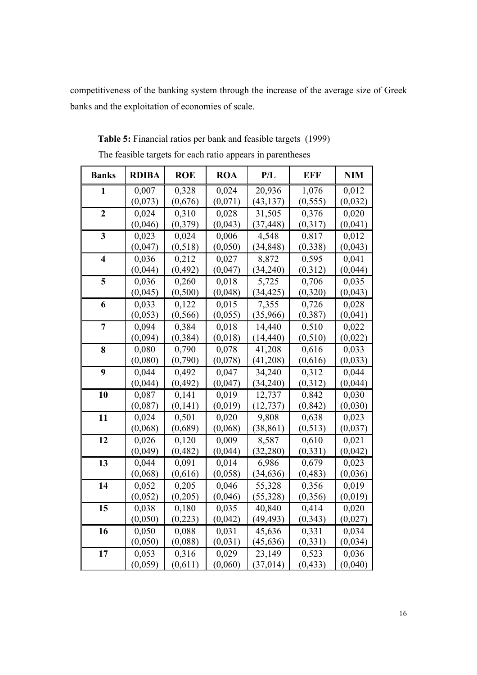competitiveness of the banking system through the increase of the average size of Greek banks and the exploitation of economies of scale.

| <b>Banks</b>            | <b>RDIBA</b> | <b>ROE</b> | <b>ROA</b> | P/L       | <b>EFF</b>         | <b>NIM</b> |
|-------------------------|--------------|------------|------------|-----------|--------------------|------------|
| $\mathbf{1}$            | 0,007        | 0,328      | 0,024      | 20,936    | 1,076              | 0,012      |
|                         | (0,073)      | (0,676)    | (0,071)    | (43, 137) | (0, 555)           | (0,032)    |
| $\overline{2}$          | 0,024        | 0,310      | 0,028      | 31,505    | 0,376              | 0,020      |
|                         | (0,046)      | (0, 379)   | (0,043)    | (37, 448) | (0,317)            | (0,041)    |
| $\overline{\mathbf{3}}$ | 0,023        | 0,024      | 0,006      | 4,548     | 0,817              | 0,012      |
|                         | (0,047)      | (0, 518)   | (0,050)    | (34, 848) | (0, 338)           | (0,043)    |
| $\overline{\mathbf{4}}$ | 0,036        | 0,212      | 0,027      | 8,872     | 0,595              | 0,041      |
|                         | (0,044)      | (0, 492)   | (0,047)    | (34,240)  | (0,312)            | (0,044)    |
| 5                       | 0,036        | 0,260      | 0,018      | 5,725     | 0,706              | 0,035      |
|                         | (0,045)      | (0, 500)   | (0,048)    | (34, 425) | (0, 320)           | (0,043)    |
| 6                       | 0,033        | 0,122      | 0,015      | 7,355     | 0,726              | 0,028      |
|                         | (0,053)      | (0, 566)   | (0,055)    | (35,966)  | (0, 387)           | (0,041)    |
| 7                       | 0,094        | 0,384      | 0,018      | 14,440    | 0,510              | 0,022      |
|                         | (0,094)      | (0, 384)   | (0,018)    | (14, 440) | (0, 510)           | (0,022)    |
| 8                       | 0,080        | 0,790      | 0,078      | 41,208    | 0,616              | 0,033      |
|                         | (0,080)      | (0,790)    | (0,078)    | (41,208)  | (0,616)            | (0,033)    |
| 9                       | 0,044        | 0,492      | 0,047      | 34,240    | 0,312              | 0,044      |
|                         | (0,044)      | (0, 492)   | (0,047)    | (34, 240) | (0, 312)           | (0,044)    |
| 10                      | 0,087        | 0,141      | 0,019      | 12,737    | 0,842              | 0,030      |
|                         | (0,087)      | (0,141)    | (0,019)    | (12, 737) | (0, 842)           | (0,030)    |
| 11                      | 0,024        | 0,501      | 0,020      | 9,808     | 0,638              | 0,023      |
|                         | (0,068)      | (0,689)    | (0,068)    | (38, 861) | (0, 513)           | (0,037)    |
| 12                      | 0,026        | 0,120      | 0,009      | 8,587     | 0,610              | 0,021      |
|                         | (0,049)      | (0, 482)   | (0,044)    | (32, 280) | (0, 331)           | (0,042)    |
| 13                      | 0,044        | 0,091      | 0,014      | 6,986     | 0,679              | 0,023      |
|                         | (0,068)      | (0,616)    | (0,058)    | (34, 636) | (0, 483)           | (0,036)    |
| 14                      | 0,052        | 0,205      | 0,046      | 55,328    | 0,356              | 0,019      |
|                         | (0, 052)     | (0,205)    | (0,046)    | (55, 328) | (0, 356)           | (0,019)    |
| 15                      | 0,038        | 0,180      | 0,035      | 40,840    | 0,414              | 0,020      |
|                         | (0,050)      | (0,223)    | (0,042)    | (49, 493) | (0, 343)           | (0,027)    |
| 16                      | 0,050        | 0,088      | 0,031      | 45,636    | 0,331              | 0,034      |
|                         | (0,050)      | (0,088)    | (0,031)    | (45, 636) | (0, 331)           | (0,034)    |
| 17                      | 0,053        | 0,316      | 0,029      | 23,149    | $\overline{0,523}$ | 0,036      |
|                         | (0,059)      | (0,611)    | (0,060)    | (37, 014) | (0, 433)           | (0,040)    |

 **Table 5:** Financial ratios per bank and feasible targets (1999) The feasible targets for each ratio appears in parentheses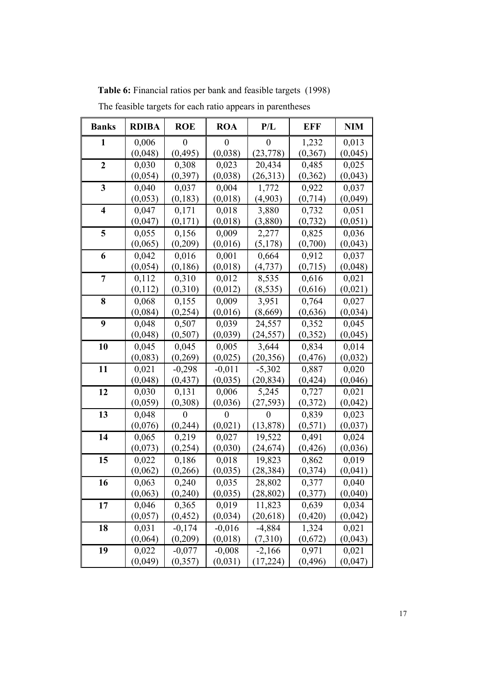| <b>Banks</b>            | <b>RDIBA</b> | <b>ROE</b> | <b>ROA</b>       | P/L       | EFF      | <b>NIM</b> |
|-------------------------|--------------|------------|------------------|-----------|----------|------------|
| 1                       | 0,006        | 0          | $\boldsymbol{0}$ | $\theta$  | 1,232    | 0,013      |
|                         | (0,048)      | (0, 495)   | (0,038)          | (23, 778) | (0, 367) | (0,045)    |
| $\overline{2}$          | 0,030        | 0,308      | 0,023            | 20,434    | 0,485    | 0,025      |
|                         | (0, 054)     | (0, 397)   | (0,038)          | (26,313)  | (0, 362) | (0,043)    |
| $\overline{\mathbf{3}}$ | 0,040        | 0,037      | 0,004            | 1,772     | 0,922    | 0,037      |
|                         | (0,053)      | (0,183)    | (0,018)          | (4,903)   | (0,714)  | (0,049)    |
| $\overline{\mathbf{4}}$ | 0,047        | 0,171      | 0,018            | 3,880     | 0,732    | 0,051      |
|                         | (0,047)      | (0,171)    | (0,018)          | (3,880)   | (0, 732) | (0,051)    |
| 5                       | 0,055        | 0,156      | 0,009            | 2,277     | 0,825    | 0,036      |
|                         | (0,065)      | (0,209)    | (0,016)          | (5,178)   | (0,700)  | (0,043)    |
| 6                       | 0,042        | 0,016      | 0,001            | 0,664     | 0,912    | 0,037      |
|                         | (0,054)      | (0, 186)   | (0,018)          | (4, 737)  | (0,715)  | (0,048)    |
| $\overline{7}$          | 0,112        | 0,310      | 0,012            | 8,535     | 0,616    | 0,021      |
|                         | (0,112)      | (0,310)    | (0,012)          | (8, 535)  | (0,616)  | (0,021)    |
| 8                       | 0,068        | 0,155      | 0,009            | 3,951     | 0,764    | 0,027      |
|                         | (0,084)      | (0, 254)   | (0,016)          | (8,669)   | (0,636)  | (0,034)    |
| 9                       | 0,048        | 0,507      | 0,039            | 24,557    | 0,352    | 0,045      |
|                         | (0,048)      | (0, 507)   | (0,039)          | (24, 557) | (0, 352) | (0,045)    |
| 10                      | 0,045        | 0,045      | 0,005            | 3,644     | 0,834    | 0,014      |
|                         | (0,083)      | (0, 269)   | (0,025)          | (20, 356) | (0, 476) | (0,032)    |
| 11                      | 0,021        | $-0,298$   | $-0,011$         | $-5,302$  | 0,887    | 0,020      |
|                         | (0,048)      | (0, 437)   | (0,035)          | (20, 834) | (0, 424) | (0,046)    |
| 12                      | 0,030        | 0,131      | 0,006            | 5,245     | 0,727    | 0,021      |
|                         | (0,059)      | (0,308)    | (0,036)          | (27, 593) | (0,372)  | (0,042)    |
| 13                      | 0,048        | $\Omega$   | 0                | $\Omega$  | 0,839    | 0,023      |
|                         | (0,076)      | (0, 244)   | (0,021)          | (13, 878) | (0, 571) | (0,037)    |
| 14                      | 0,065        | 0,219      | 0,027            | 19,522    | 0,491    | 0,024      |
|                         | (0,073)      | (0, 254)   | (0,030)          | (24, 674) | (0, 426) | (0,036)    |
| 15                      | 0,022        | 0,186      | 0,018            | 19,823    | 0,862    | 0,019      |
|                         | (0,062)      | (0, 266)   | (0,035)          | (28, 384) | (0, 374) | (0,041)    |
| 16                      | 0,063        | 0,240      | 0,035            | 28,802    | 0,377    | 0,040      |
|                         | (0,063)      | (0, 240)   | (0,035)          | (28, 802) | (0,377)  | (0,040)    |
| 17                      | 0,046        | 0,365      | 0,019            | 11,823    | 0,639    | 0,034      |
|                         | (0,057)      | (0, 452)   | (0, 034)         | (20, 618) | (0, 420) | (0,042)    |
| 18                      | 0,031        | $-0,174$   | $-0,016$         | $-4,884$  | 1,324    | 0,021      |
|                         | (0,064)      | (0,209)    | (0,018)          | (7,310)   | (0,672)  | (0,043)    |
| 19                      | 0,022        | $-0,077$   | $-0,008$         | $-2,166$  | 0,971    | 0,021      |
|                         | (0,049)      | (0, 357)   | (0,031)          | (17, 224) | (0, 496) | (0,047)    |

 **Table 6:** Financial ratios per bank and feasible targets (1998)

The feasible targets for each ratio appears in parentheses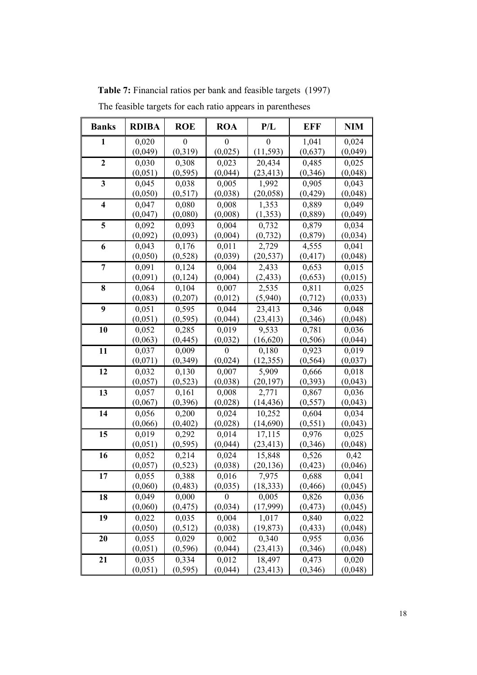| <b>Banks</b>            | <b>RDIBA</b> | <b>ROE</b> | <b>ROA</b>       | P/L                | <b>EFF</b> | <b>NIM</b> |
|-------------------------|--------------|------------|------------------|--------------------|------------|------------|
| 1                       | 0,020        | $\theta$   | $\theta$         | $\theta$           | 1,041      | 0,024      |
|                         | (0,049)      | (0, 319)   | (0,025)          | (11, 593)          | (0,637)    | (0,049)    |
| $\overline{2}$          | 0,030        | 0,308      | 0,023            | 20,434             | 0,485      | 0,025      |
|                         | (0,051)      | (0, 595)   | (0,044)          | (23, 413)          | (0, 346)   | (0,048)    |
| 3                       | 0,045        | 0,038      | 0,005            | 1,992              | 0,905      | 0,043      |
|                         | (0,050)      | (0, 517)   | (0,038)          | (20, 058)          | (0, 429)   | (0,048)    |
| $\overline{\mathbf{4}}$ | 0,047        | 0,080      | 0,008            | 1,353              | 0,889      | 0,049      |
|                         | (0,047)      | (0,080)    | (0,008)          | (1, 353)           | (0, 889)   | (0,049)    |
| 5                       | 0,092        | 0,093      | 0,004            | 0,732              | 0,879      | 0,034      |
|                         | (0,092)      | (0,093)    | (0,004)          | (0, 732)           | (0, 879)   | (0,034)    |
| 6                       | 0,043        | 0,176      | 0,011            | 2,729              | 4,555      | 0,041      |
|                         | (0,050)      | (0,528)    | (0,039)          | (20, 537)          | (0, 417)   | (0,048)    |
| 7                       | 0,091        | 0,124      | 0,004            | 2,433              | 0,653      | 0,015      |
|                         | (0,091)      | (0, 124)   | (0,004)          | (2, 433)           | (0,653)    | (0,015)    |
| 8                       | 0,064        | 0,104      | 0,007            | 2,535              | 0,811      | 0,025      |
|                         | (0,083)      | (0, 207)   | (0, 012)         | (5,940)            | (0, 712)   | (0,033)    |
| 9                       | 0,051        | 0,595      | 0,044            | 23,413             | 0,346      | 0,048      |
|                         | (0,051)      | (0, 595)   | (0,044)          | (23, 413)          | (0, 346)   | (0,048)    |
| 10                      | 0,052        | 0,285      | 0,019            | $\overline{9,533}$ | 0,781      | 0,036      |
|                         | (0,063)      | (0, 445)   | (0,032)          | (16, 620)          | (0, 506)   | (0,044)    |
| 11                      | 0,037        | 0,009      | $\theta$         | 0,180              | 0,923      | 0,019      |
|                         | (0,071)      | (0, 349)   | (0,024)          | (12, 355)          | (0, 564)   | (0,037)    |
| 12                      | 0,032        | 0,130      | 0,007            | 5,909              | 0,666      | 0,018      |
|                         | (0,057)      | (0, 523)   | (0,038)          | (20, 197)          | (0, 393)   | (0,043)    |
| 13                      | 0,057        | 0,161      | 0,008            | 2,771              | 0,867      | 0,036      |
|                         | (0,067)      | (0, 396)   | (0,028)          | (14, 436)          | (0, 557)   | (0,043)    |
| 14                      | 0,056        | 0,200      | 0,024            | 10,252             | 0,604      | 0,034      |
|                         | (0,066)      | (0, 402)   | (0,028)          | (14,690)           | (0, 551)   | (0,043)    |
| 15                      | 0,019        | 0,292      | 0,014            | 17,115             | 0,976      | 0,025      |
|                         | (0, 051)     | (0, 595)   | (0,044)          | (23, 413)          | (0, 346)   | (0,048)    |
| 16                      | 0,052        | 0,214      | 0,024            | 15,848             | 0,526      | 0,42       |
|                         | (0,057)      | (0, 523)   | (0,038)          | (20, 136)          | (0, 423)   | (0,046)    |
| 17                      | 0,055        | 0,388      | 0,016            | 7,975              | 0,688      | 0,041      |
|                         | (0,060)      | (0, 483)   | (0,035)          | (18, 333)          | (0, 466)   | (0,045)    |
| 18                      | 0,049        | 0,000      | $\boldsymbol{0}$ | 0,005              | 0,826      | 0,036      |
|                         | (0,060)      | (0, 475)   | (0,034)          | (17,999)           | (0, 473)   | (0,045)    |
| 19                      | 0,022        | 0,035      | 0,004            | 1,017              | 0,840      | 0,022      |
|                         | (0,050)      | (0, 512)   | (0,038)          | (19, 873)          | (0, 433)   | (0,048)    |
| 20                      | 0,055        | 0,029      | 0,002            | 0,340              | 0,955      | 0,036      |
|                         | (0,051)      | (0, 596)   | (0,044)          | (23, 413)          | (0, 346)   | (0,048)    |
| 21                      | 0,035        | 0,334      | 0,012            | 18,497             | 0,473      | 0,020      |
|                         | (0,051)      | (0, 595)   | (0,044)          | (23, 413)          | (0, 346)   | (0,048)    |

 **Table 7:** Financial ratios per bank and feasible targets (1997)

The feasible targets for each ratio appears in parentheses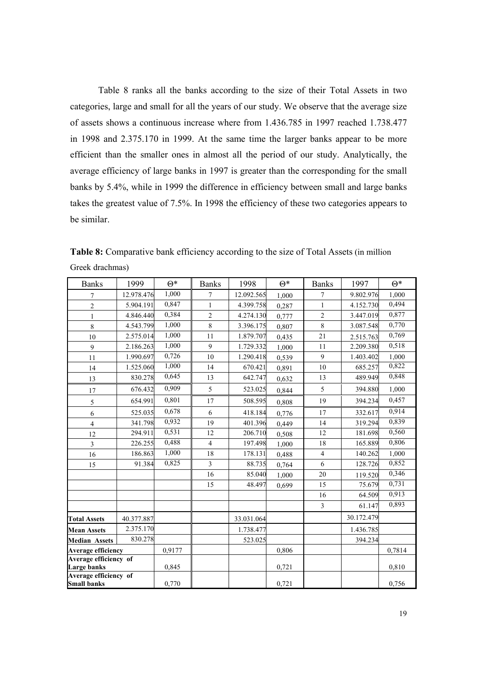Table 8 ranks all the banks according to the size of their Total Assets in two categories, large and small for all the years of our study. We observe that the average size of assets shows a continuous increase where from 1.436.785 in 1997 reached 1.738.477 in 1998 and 2.375.170 in 1999. At the same time the larger banks appear to be more efficient than the smaller ones in almost all the period of our study. Analytically, the average efficiency of large banks in 1997 is greater than the corresponding for the small banks by 5.4%, while in 1999 the difference in efficiency between small and large banks takes the greatest value of 7.5%. In 1998 the efficiency of these two categories appears to be similar.

Table 8: Comparative bank efficiency according to the size of Total Assets (in million Greek drachmas)

| <b>Banks</b>                                | 1999       | $\Theta^*$ | <b>Banks</b>            | 1998       | $\Theta^*$ | <b>Banks</b>   | 1997       | $\Theta^*$ |
|---------------------------------------------|------------|------------|-------------------------|------------|------------|----------------|------------|------------|
| 7                                           | 12.978.476 | 1,000      | $\overline{7}$          | 12.092.565 | 1.000      | 7              | 9.802.976  | 1,000      |
| $\overline{2}$                              | 5.904.191  | 0,847      | $\mathbf{1}$            | 4.399.758  | 0,287      | $\mathbf{1}$   | 4.152.730  | 0,494      |
| 1                                           | 4.846.440  | 0,384      | $\overline{2}$          | 4.274.130  | 0,777      | $\overline{2}$ | 3.447.019  | 0,877      |
| 8                                           | 4.543.799  | 1,000      | 8                       | 3.396.175  | 0,807      | 8              | 3.087.548  | 0,770      |
| 10                                          | 2.575.014  | 1,000      | 11                      | 1.879.707  | 0,435      | 21             | 2.515.763  | 0,769      |
| 9                                           | 2.186.263  | 1,000      | $\mathbf{Q}$            | 1.729.332  | 1,000      | 11             | 2.209.380  | 0,518      |
| 11                                          | 1.990.697  | 0,726      | 10                      | 1.290.418  | 0,539      | 9              | 1.403.402  | 1,000      |
| 14                                          | 1.525.060  | 1,000      | 14                      | 670.421    | 0,891      | 10             | 685.257    | 0,822      |
| 13                                          | 830.278    | 0,645      | 13                      | 642.747    | 0,632      | 13             | 489.949    | 0,848      |
| 17                                          | 676.432    | 0,909      | 5                       | 523.025    | 0,844      | 5              | 394.880    | 1,000      |
| 5                                           | 654.991    | 0,801      | 17                      | 508.595    | 0,808      | 19             | 394.234    | 0,457      |
| 6                                           | 525.035    | 0.678      | 6                       | 418.184    | 0,776      | 17             | 332.617    | 0,914      |
| $\overline{4}$                              | 341.798    | 0,932      | 19                      | 401.396    | 0,449      | 14             | 319.294    | 0,839      |
| 12                                          | 294.911    | 0,531      | 12                      | 206.710    | 0,508      | 12             | 181.698    | 0,560      |
| $\overline{\mathbf{3}}$                     | 226.255    | 0,488      | $\overline{4}$          | 197.498    | 1,000      | 18             | 165.889    | 0,806      |
| 16                                          | 186.863    | 1,000      | 18                      | 178.131    | 0,488      | $\overline{4}$ | 140.262    | 1,000      |
| 15                                          | 91.384     | 0,825      | $\overline{\mathbf{3}}$ | 88.735     | 0,764      | 6              | 128.726    | 0,852      |
|                                             |            |            | 16                      | 85.040     | 1,000      | 20             | 119.520    | 0,346      |
|                                             |            |            | 15                      | 48.497     | 0,699      | 15             | 75.679     | 0,731      |
|                                             |            |            |                         |            |            | 16             | 64.509     | 0,913      |
|                                             |            |            |                         |            |            | $\overline{3}$ | 61.147     | 0,893      |
| <b>Total Assets</b>                         | 40.377.887 |            |                         | 33.031.064 |            |                | 30.172.479 |            |
| <b>Mean Assets</b>                          | 2.375.170  |            |                         | 1.738.477  |            |                | 1.436.785  |            |
| <b>Median Assets</b>                        | 830.278    |            |                         | 523.025    |            |                | 394.234    |            |
| <b>Average efficiency</b>                   |            | 0.9177     |                         |            | 0,806      |                |            | 0,7814     |
| Average efficiency of<br><b>Large banks</b> |            | 0,845      |                         |            | 0,721      |                |            | 0,810      |
| Average efficiency of<br><b>Small banks</b> |            | 0,770      |                         |            | 0,721      |                |            | 0,756      |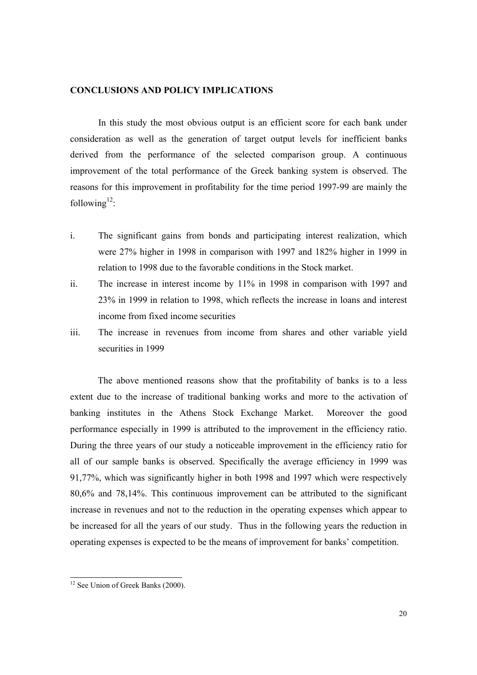#### **CONCLUSIONS AND POLICY IMPLICATIONS**

In this study the most obvious output is an efficient score for each bank under consideration as well as the generation of target output levels for inefficient banks derived from the performance of the selected comparison group. A continuous improvement of the total performance of the Greek banking system is observed. The reasons for this improvement in profitability for the time period 1997-99 are mainly the following $^{12}$ :

- i. The significant gains from bonds and participating interest realization, which were 27% higher in 1998 in comparison with 1997 and 182% higher in 1999 in relation to 1998 due to the favorable conditions in the Stock market.
- ii. The increase in interest income by 11% in 1998 in comparison with 1997 and 23% in 1999 in relation to 1998, which reflects the increase in loans and interest income from fixed income securities
- iii. The increase in revenues from income from shares and other variable yield securities in 1999

 The above mentioned reasons show that the profitability of banks is to a less extent due to the increase of traditional banking works and more to the activation of banking institutes in the Athens Stock Exchange Market. Moreover the good performance especially in 1999 is attributed to the improvement in the efficiency ratio. During the three years of our study a noticeable improvement in the efficiency ratio for all of our sample banks is observed. Specifically the average efficiency in 1999 was 91,77%, which was significantly higher in both 1998 and 1997 which were respectively 80,6% and 78,14%. This continuous improvement can be attributed to the significant increase in revenues and not to the reduction in the operating expenses which appear to be increased for all the years of our study. Thus in the following years the reduction in operating expenses is expected to be the means of improvement for banks' competition.

 $\overline{a}$ 

<sup>&</sup>lt;sup>12</sup> See Union of Greek Banks (2000).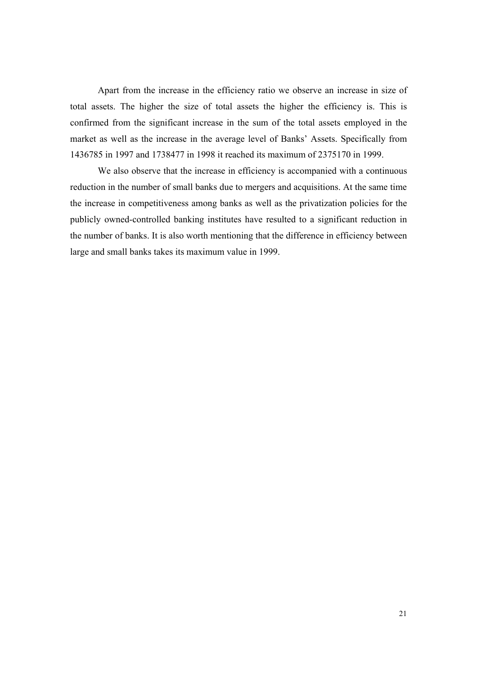Apart from the increase in the efficiency ratio we observe an increase in size of total assets. The higher the size of total assets the higher the efficiency is. This is confirmed from the significant increase in the sum of the total assets employed in the market as well as the increase in the average level of Banks' Assets. Specifically from 1436785 in 1997 and 1738477 in 1998 it reached its maximum of 2375170 in 1999.

 We also observe that the increase in efficiency is accompanied with a continuous reduction in the number of small banks due to mergers and acquisitions. At the same time the increase in competitiveness among banks as well as the privatization policies for the publicly owned-controlled banking institutes have resulted to a significant reduction in the number of banks. It is also worth mentioning that the difference in efficiency between large and small banks takes its maximum value in 1999.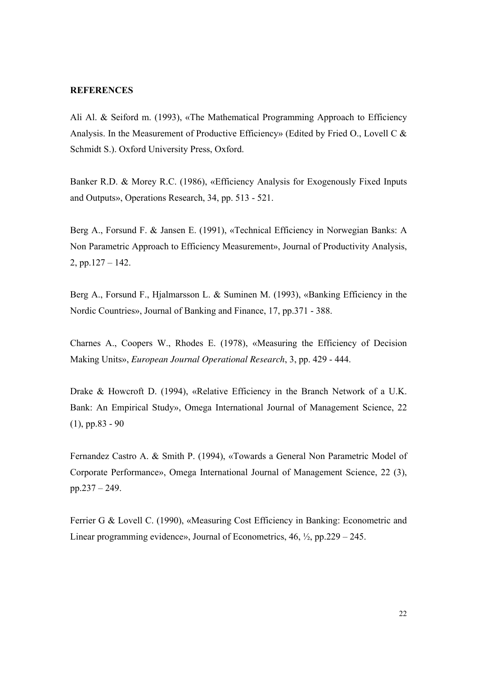#### **REFERENCES**

Ali Al. & Seiford m. (1993), «The Mathematical Programming Approach to Efficiency Analysis. In the Measurement of Productive Efficiency» (Edited by Fried O., Lovell C & Schmidt S.). Oxford University Press, Oxford.

Banker R.D. & Morey R.C. (1986), «Efficiency Analysis for Exogenously Fixed Inputs and Outputs», Operations Research, 34, pp. 513 - 521.

Berg A., Forsund F. & Jansen E. (1991), «Technical Efficiency in Norwegian Banks: A Non Parametric Approach to Efficiency Measurement», Journal of Productivity Analysis, 2, pp.127 – 142.

Berg A., Forsund F., Hjalmarsson L. & Suminen M. (1993), «Banking Efficiency in the Nordic Countries», Journal of Banking and Finance, 17, pp.371 - 388.

Charnes A., Coopers W., Rhodes E. (1978), «Measuring the Efficiency of Decision Making Units», *European Journal Operational Research*, 3, pp. 429 - 444.

Drake & Howcroft D. (1994), «Relative Efficiency in the Branch Network of a U.K. Bank: An Empirical Study», Omega International Journal of Management Science, 22 (1), pp.83 - 90

Fernandez Castro A. & Smith P. (1994), «Towards a General Non Parametric Model of Corporate Performance», Omega International Journal of Management Science, 22 (3), pp.237 – 249.

Ferrier G & Lovell C. (1990), «Measuring Cost Efficiency in Banking: Econometric and Linear programming evidence», Journal of Econometrics, 46, ½, pp.229 – 245.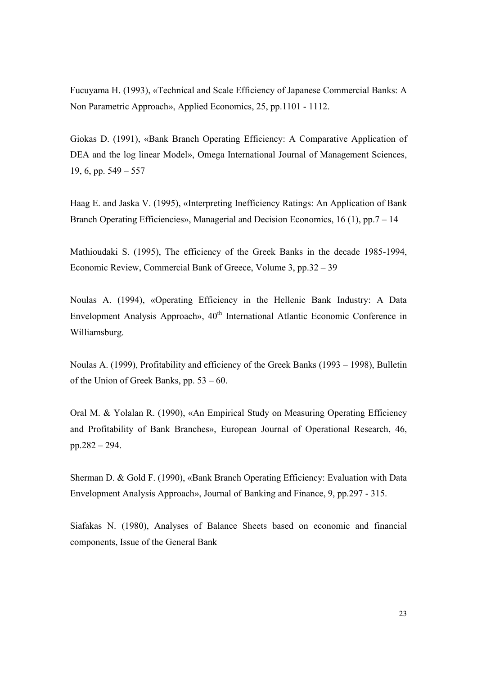Fucuyama H. (1993), «Technical and Scale Efficiency of Japanese Commercial Banks: A Non Parametric Approach», Applied Economics, 25, pp.1101 - 1112.

Giokas D. (1991), «Bank Branch Operating Efficiency: A Comparative Application of DEA and the log linear Model», Omega International Journal of Management Sciences, 19, 6, pp. 549 – 557

Haag E. and Jaska V. (1995), «Interpreting Inefficiency Ratings: An Application of Bank Branch Operating Efficiencies», Managerial and Decision Economics, 16 (1), pp.7 – 14

Mathioudaki S. (1995), The efficiency of the Greek Banks in the decade 1985-1994, Economic Review, Commercial Bank of Greece, Volume 3, pp.32 – 39

Noulas A. (1994), «Operating Efficiency in the Hellenic Bank Industry: A Data Envelopment Analysis Approach», 40<sup>th</sup> International Atlantic Economic Conference in Williamsburg.

Νoulas Α. (1999), Profitability and efficiency of the Greek Banks (1993 – 1998), Bulletin of the Union of Greek Banks, pp. 53 – 60.

Oral M. & Yolalan R. (1990), «An Empirical Study on Measuring Operating Efficiency and Profitability of Bank Branches», European Journal of Operational Research, 46, pp.282 – 294.

Sherman D. & Gold F. (1990), «Bank Branch Operating Efficiency: Evaluation with Data Envelopment Analysis Approach», Journal of Banking and Finance, 9, pp.297 - 315.

Siafakas N. (1980), Analyses of Balance Sheets based on economic and financial components, Issue of the General Bank